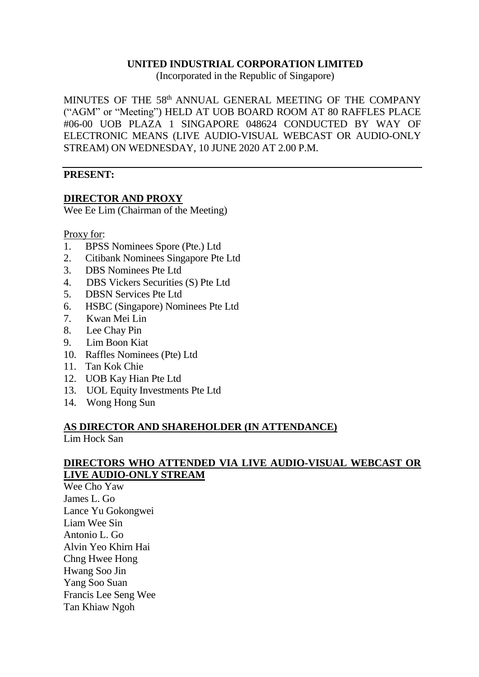#### **UNITED INDUSTRIAL CORPORATION LIMITED**

(Incorporated in the Republic of Singapore)

MINUTES OF THE 58<sup>th</sup> ANNUAL GENERAL MEETING OF THE COMPANY ("AGM" or "Meeting") HELD AT UOB BOARD ROOM AT 80 RAFFLES PLACE #06-00 UOB PLAZA 1 SINGAPORE 048624 CONDUCTED BY WAY OF ELECTRONIC MEANS (LIVE AUDIO-VISUAL WEBCAST OR AUDIO-ONLY STREAM) ON WEDNESDAY, 10 JUNE 2020 AT 2.00 P.M.

#### **PRESENT:**

#### **DIRECTOR AND PROXY**

Wee Ee Lim (Chairman of the Meeting)

Proxy for:

- 1. BPSS Nominees Spore (Pte.) Ltd
- 2. Citibank Nominees Singapore Pte Ltd
- 3. DBS Nominees Pte Ltd
- 4. DBS Vickers Securities (S) Pte Ltd
- 5. DBSN Services Pte Ltd
- 6. HSBC (Singapore) Nominees Pte Ltd
- 7. Kwan Mei Lin
- 8. Lee Chay Pin
- 9. Lim Boon Kiat
- 10. Raffles Nominees (Pte) Ltd
- 11. Tan Kok Chie
- 12. UOB Kay Hian Pte Ltd
- 13. UOL Equity Investments Pte Ltd
- 14. Wong Hong Sun

#### **AS DIRECTOR AND SHAREHOLDER (IN ATTENDANCE)** Lim Hock San

#### **DIRECTORS WHO ATTENDED VIA LIVE AUDIO-VISUAL WEBCAST OR LIVE AUDIO-ONLY STREAM**

Wee Cho Yaw James L. Go Lance Yu Gokongwei Liam Wee Sin Antonio L. Go Alvin Yeo Khirn Hai Chng Hwee Hong Hwang Soo Jin Yang Soo Suan Francis Lee Seng Wee Tan Khiaw Ngoh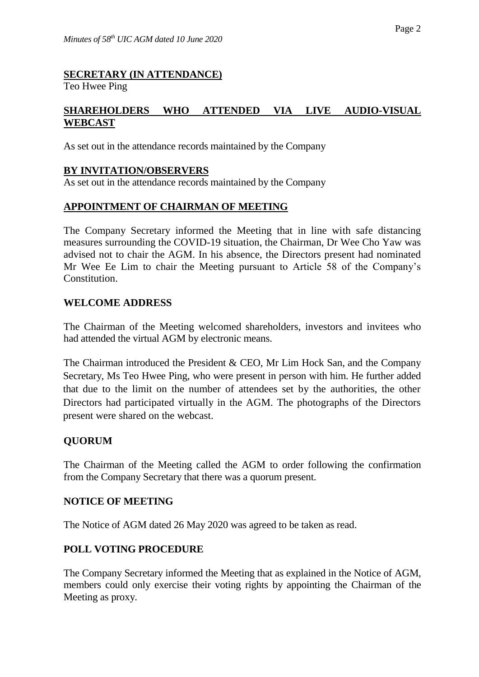# **SECRETARY (IN ATTENDANCE)**

Teo Hwee Ping

## **SHAREHOLDERS WHO ATTENDED VIA LIVE AUDIO-VISUAL WEBCAST**

As set out in the attendance records maintained by the Company

## **BY INVITATION/OBSERVERS**

As set out in the attendance records maintained by the Company

#### **APPOINTMENT OF CHAIRMAN OF MEETING**

The Company Secretary informed the Meeting that in line with safe distancing measures surrounding the COVID-19 situation, the Chairman, Dr Wee Cho Yaw was advised not to chair the AGM. In his absence, the Directors present had nominated Mr Wee Ee Lim to chair the Meeting pursuant to Article 58 of the Company's Constitution.

#### **WELCOME ADDRESS**

The Chairman of the Meeting welcomed shareholders, investors and invitees who had attended the virtual AGM by electronic means.

The Chairman introduced the President & CEO, Mr Lim Hock San, and the Company Secretary, Ms Teo Hwee Ping, who were present in person with him. He further added that due to the limit on the number of attendees set by the authorities, the other Directors had participated virtually in the AGM. The photographs of the Directors present were shared on the webcast.

#### **QUORUM**

The Chairman of the Meeting called the AGM to order following the confirmation from the Company Secretary that there was a quorum present.

#### **NOTICE OF MEETING**

The Notice of AGM dated 26 May 2020 was agreed to be taken as read.

## **POLL VOTING PROCEDURE**

The Company Secretary informed the Meeting that as explained in the Notice of AGM, members could only exercise their voting rights by appointing the Chairman of the Meeting as proxy.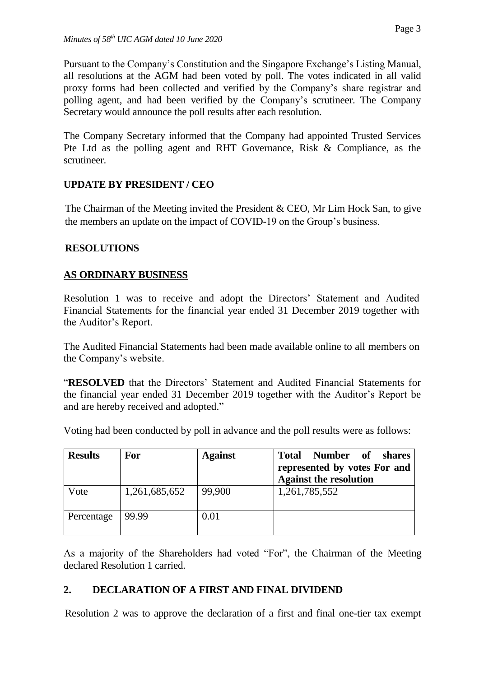Pursuant to the Company's Constitution and the Singapore Exchange's Listing Manual, all resolutions at the AGM had been voted by poll. The votes indicated in all valid proxy forms had been collected and verified by the Company's share registrar and polling agent, and had been verified by the Company's scrutineer. The Company Secretary would announce the poll results after each resolution.

The Company Secretary informed that the Company had appointed Trusted Services Pte Ltd as the polling agent and RHT Governance, Risk & Compliance, as the scrutineer.

# **UPDATE BY PRESIDENT / CEO**

The Chairman of the Meeting invited the President & CEO, Mr Lim Hock San, to give the members an update on the impact of COVID-19 on the Group's business.

## **RESOLUTIONS**

## **AS ORDINARY BUSINESS**

Resolution 1 was to receive and adopt the Directors' Statement and Audited Financial Statements for the financial year ended 31 December 2019 together with the Auditor's Report.

The Audited Financial Statements had been made available online to all members on the Company's website.

"**RESOLVED** that the Directors' Statement and Audited Financial Statements for the financial year ended 31 December 2019 together with the Auditor's Report be and are hereby received and adopted."

Voting had been conducted by poll in advance and the poll results were as follows:

| <b>Results</b> | For           | <b>Against</b> | <b>Number</b> of<br><b>Total</b><br>shares<br>represented by votes For and<br><b>Against the resolution</b> |
|----------------|---------------|----------------|-------------------------------------------------------------------------------------------------------------|
| Vote           | 1,261,685,652 | 99,900         | 1,261,785,552                                                                                               |
| Percentage     | 99.99         | 0.01           |                                                                                                             |

As a majority of the Shareholders had voted "For", the Chairman of the Meeting declared Resolution 1 carried.

# **2. DECLARATION OF A FIRST AND FINAL DIVIDEND**

Resolution 2 was to approve the declaration of a first and final one-tier tax exempt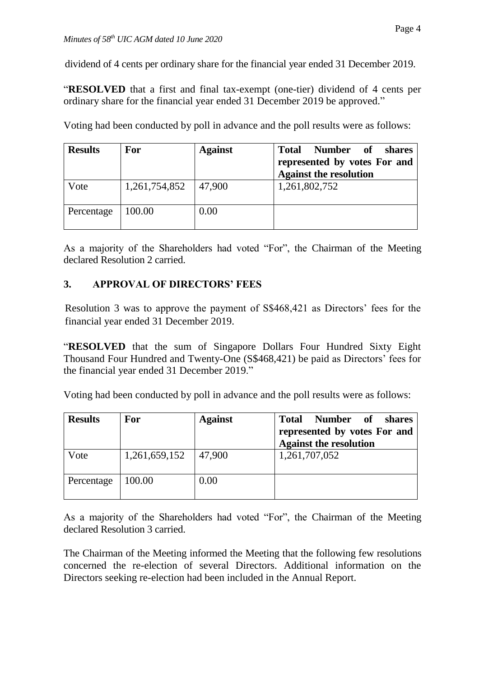dividend of 4 cents per ordinary share for the financial year ended 31 December 2019.

"**RESOLVED** that a first and final tax-exempt (one-tier) dividend of 4 cents per ordinary share for the financial year ended 31 December 2019 be approved."

| <b>Results</b> | For           | <b>Against</b> | <b>Total</b><br>Number of<br>shares<br>represented by votes For and<br><b>Against the resolution</b> |
|----------------|---------------|----------------|------------------------------------------------------------------------------------------------------|
| Vote           | 1,261,754,852 | 47,900         | 1,261,802,752                                                                                        |
| Percentage     | 100.00        | 0.00           |                                                                                                      |

Voting had been conducted by poll in advance and the poll results were as follows:

As a majority of the Shareholders had voted "For", the Chairman of the Meeting declared Resolution 2 carried.

## **3. APPROVAL OF DIRECTORS' FEES**

Resolution 3 was to approve the payment of S\$468,421 as Directors' fees for the financial year ended 31 December 2019.

"**RESOLVED** that the sum of Singapore Dollars Four Hundred Sixty Eight Thousand Four Hundred and Twenty-One (S\$468,421) be paid as Directors' fees for the financial year ended 31 December 2019."

Voting had been conducted by poll in advance and the poll results were as follows:

| <b>Results</b> | For           | <b>Against</b> | Total Number of<br>shares<br>represented by votes For and<br><b>Against the resolution</b> |
|----------------|---------------|----------------|--------------------------------------------------------------------------------------------|
| Vote           | 1,261,659,152 | 47,900         | 1,261,707,052                                                                              |
| Percentage     | 100.00        | 0.00           |                                                                                            |

As a majority of the Shareholders had voted "For", the Chairman of the Meeting declared Resolution 3 carried.

The Chairman of the Meeting informed the Meeting that the following few resolutions concerned the re-election of several Directors. Additional information on the Directors seeking re-election had been included in the Annual Report.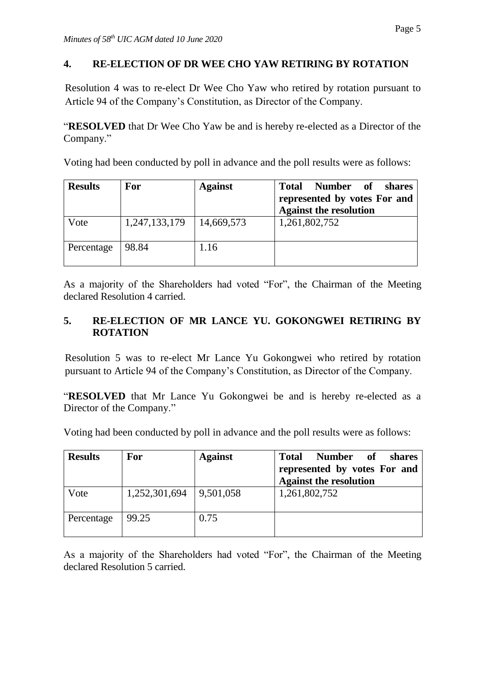## **4. RE-ELECTION OF DR WEE CHO YAW RETIRING BY ROTATION**

Resolution 4 was to re-elect Dr Wee Cho Yaw who retired by rotation pursuant to Article 94 of the Company's Constitution, as Director of the Company.

"**RESOLVED** that Dr Wee Cho Yaw be and is hereby re-elected as a Director of the Company."

Voting had been conducted by poll in advance and the poll results were as follows:

| <b>Results</b> | For           | <b>Against</b> | <b>Total</b><br>Number of<br>shares<br>represented by votes For and<br><b>Against the resolution</b> |
|----------------|---------------|----------------|------------------------------------------------------------------------------------------------------|
| Vote           | 1,247,133,179 | 14,669,573     | 1,261,802,752                                                                                        |
| Percentage     | 98.84         | 1.16           |                                                                                                      |

As a majority of the Shareholders had voted "For", the Chairman of the Meeting declared Resolution 4 carried.

## **5. RE-ELECTION OF MR LANCE YU. GOKONGWEI RETIRING BY ROTATION**

Resolution 5 was to re-elect Mr Lance Yu Gokongwei who retired by rotation pursuant to Article 94 of the Company's Constitution, as Director of the Company.

"**RESOLVED** that Mr Lance Yu Gokongwei be and is hereby re-elected as a Director of the Company."

Voting had been conducted by poll in advance and the poll results were as follows:

| <b>Results</b> | <b>For</b>    | <b>Against</b> | <b>Total</b><br><b>of</b><br><b>Number</b><br>shares<br>represented by votes For and<br><b>Against the resolution</b> |
|----------------|---------------|----------------|-----------------------------------------------------------------------------------------------------------------------|
| Vote           | 1,252,301,694 | 9,501,058      | 1,261,802,752                                                                                                         |
| Percentage     | 99.25         | 0.75           |                                                                                                                       |

As a majority of the Shareholders had voted "For", the Chairman of the Meeting declared Resolution 5 carried.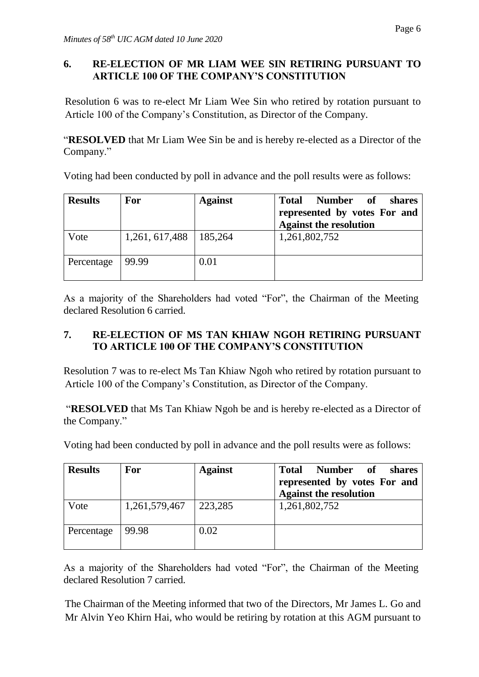## **6. RE-ELECTION OF MR LIAM WEE SIN RETIRING PURSUANT TO ARTICLE 100 OF THE COMPANY'S CONSTITUTION**

Resolution 6 was to re-elect Mr Liam Wee Sin who retired by rotation pursuant to Article 100 of the Company's Constitution, as Director of the Company.

"**RESOLVED** that Mr Liam Wee Sin be and is hereby re-elected as a Director of the Company."

Voting had been conducted by poll in advance and the poll results were as follows:

| <b>Results</b> | For                       | <b>Against</b> | <b>Total</b><br><b>Number</b><br><b>of</b><br>shares<br>represented by votes For and<br><b>Against the resolution</b> |
|----------------|---------------------------|----------------|-----------------------------------------------------------------------------------------------------------------------|
| Vote           | $1,261,617,488$   185,264 |                | 1,261,802,752                                                                                                         |
| Percentage     | 99.99                     | 0.01           |                                                                                                                       |

As a majority of the Shareholders had voted "For", the Chairman of the Meeting declared Resolution 6 carried.

## **7. RE-ELECTION OF MS TAN KHIAW NGOH RETIRING PURSUANT TO ARTICLE 100 OF THE COMPANY'S CONSTITUTION**

Resolution 7 was to re-elect Ms Tan Khiaw Ngoh who retired by rotation pursuant to Article 100 of the Company's Constitution, as Director of the Company.

"**RESOLVED** that Ms Tan Khiaw Ngoh be and is hereby re-elected as a Director of the Company."

Voting had been conducted by poll in advance and the poll results were as follows:

| <b>Results</b> | For           | <b>Against</b> | <b>Number</b><br><b>Total</b><br>of<br>shares<br>represented by votes For and<br><b>Against the resolution</b> |
|----------------|---------------|----------------|----------------------------------------------------------------------------------------------------------------|
| Vote           | 1,261,579,467 | 223,285        | 1,261,802,752                                                                                                  |
| Percentage     | 99.98         | 0.02           |                                                                                                                |

As a majority of the Shareholders had voted "For", the Chairman of the Meeting declared Resolution 7 carried.

The Chairman of the Meeting informed that two of the Directors, Mr James L. Go and Mr Alvin Yeo Khirn Hai, who would be retiring by rotation at this AGM pursuant to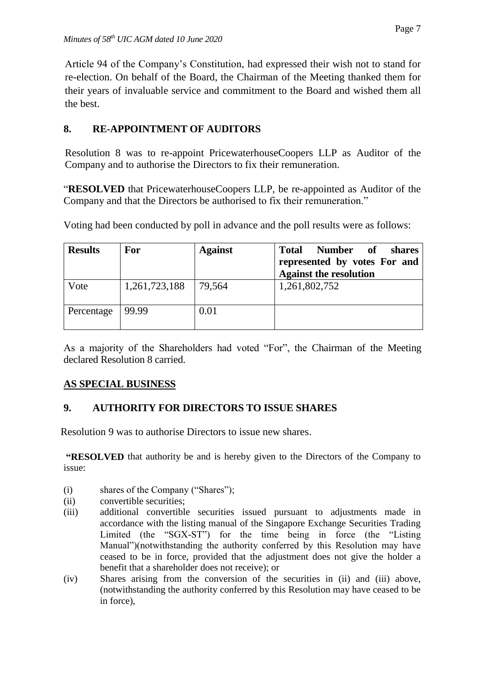Article 94 of the Company's Constitution, had expressed their wish not to stand for re-election. On behalf of the Board, the Chairman of the Meeting thanked them for their years of invaluable service and commitment to the Board and wished them all the best.

# **8. RE-APPOINTMENT OF AUDITORS**

Resolution 8 was to re-appoint PricewaterhouseCoopers LLP as Auditor of the Company and to authorise the Directors to fix their remuneration.

"**RESOLVED** that PricewaterhouseCoopers LLP, be re-appointed as Auditor of the Company and that the Directors be authorised to fix their remuneration."

| <b>Results</b> | For           | <b>Against</b> | <b>Number</b><br><b>of</b><br><b>Total</b><br>shares<br>represented by votes For and<br><b>Against the resolution</b> |
|----------------|---------------|----------------|-----------------------------------------------------------------------------------------------------------------------|
| Vote           | 1,261,723,188 | 79,564         | 1,261,802,752                                                                                                         |
| Percentage     | 99.99         | $0.01\,$       |                                                                                                                       |

Voting had been conducted by poll in advance and the poll results were as follows:

As a majority of the Shareholders had voted "For", the Chairman of the Meeting declared Resolution 8 carried.

# **AS SPECIAL BUSINESS**

# **9. AUTHORITY FOR DIRECTORS TO ISSUE SHARES**

Resolution 9 was to authorise Directors to issue new shares.

**"RESOLVED** that authority be and is hereby given to the Directors of the Company to issue:

- (i) shares of the Company ("Shares");
- (ii) convertible securities;
- (iii) additional convertible securities issued pursuant to adjustments made in accordance with the listing manual of the Singapore Exchange Securities Trading Limited (the "SGX-ST") for the time being in force (the "Listing Manual")(notwithstanding the authority conferred by this Resolution may have ceased to be in force, provided that the adjustment does not give the holder a benefit that a shareholder does not receive); or
- (iv) Shares arising from the conversion of the securities in (ii) and (iii) above, (notwithstanding the authority conferred by this Resolution may have ceased to be in force),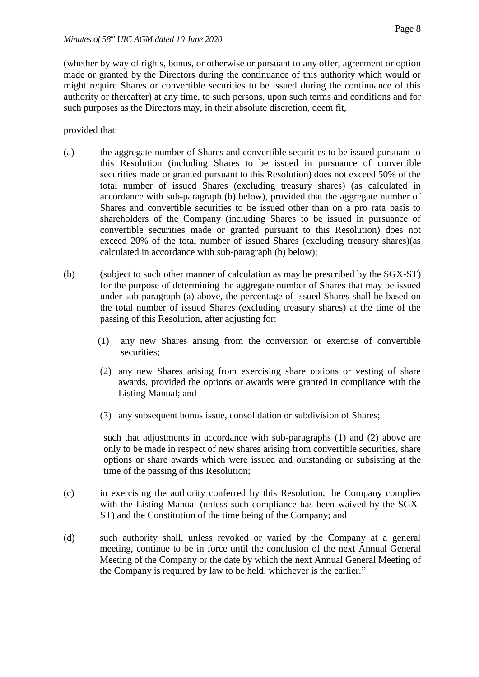(whether by way of rights, bonus, or otherwise or pursuant to any offer, agreement or option made or granted by the Directors during the continuance of this authority which would or might require Shares or convertible securities to be issued during the continuance of this authority or thereafter) at any time, to such persons, upon such terms and conditions and for such purposes as the Directors may, in their absolute discretion, deem fit,

provided that:

- (a) the aggregate number of Shares and convertible securities to be issued pursuant to this Resolution (including Shares to be issued in pursuance of convertible securities made or granted pursuant to this Resolution) does not exceed 50% of the total number of issued Shares (excluding treasury shares) (as calculated in accordance with sub-paragraph (b) below), provided that the aggregate number of Shares and convertible securities to be issued other than on a pro rata basis to shareholders of the Company (including Shares to be issued in pursuance of convertible securities made or granted pursuant to this Resolution) does not exceed 20% of the total number of issued Shares (excluding treasury shares)(as calculated in accordance with sub-paragraph (b) below);
- (b) (subject to such other manner of calculation as may be prescribed by the SGX-ST) for the purpose of determining the aggregate number of Shares that may be issued under sub-paragraph (a) above, the percentage of issued Shares shall be based on the total number of issued Shares (excluding treasury shares) at the time of the passing of this Resolution, after adjusting for:
	- (1) any new Shares arising from the conversion or exercise of convertible securities:
	- (2) any new Shares arising from exercising share options or vesting of share awards, provided the options or awards were granted in compliance with the Listing Manual; and
	- (3) any subsequent bonus issue, consolidation or subdivision of Shares;

such that adjustments in accordance with sub-paragraphs (1) and (2) above are only to be made in respect of new shares arising from convertible securities, share options or share awards which were issued and outstanding or subsisting at the time of the passing of this Resolution;

- (c) in exercising the authority conferred by this Resolution, the Company complies with the Listing Manual (unless such compliance has been waived by the SGX-ST) and the Constitution of the time being of the Company; and
- (d) such authority shall, unless revoked or varied by the Company at a general meeting, continue to be in force until the conclusion of the next Annual General Meeting of the Company or the date by which the next Annual General Meeting of the Company is required by law to be held, whichever is the earlier."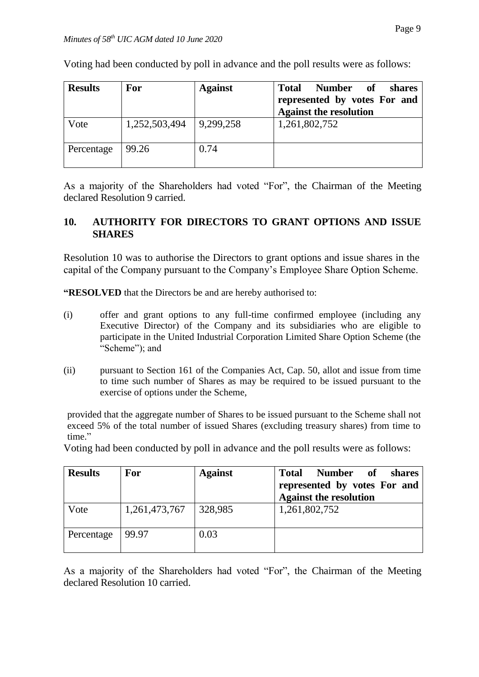| <b>Results</b> | <b>For</b>    | <b>Against</b> | <b>Number</b><br><b>Total</b><br>of<br>shares<br>represented by votes For and<br><b>Against the resolution</b> |
|----------------|---------------|----------------|----------------------------------------------------------------------------------------------------------------|
| Vote           | 1,252,503,494 | 9,299,258      | 1,261,802,752                                                                                                  |
| Percentage     | 99.26         | 0.74           |                                                                                                                |

Voting had been conducted by poll in advance and the poll results were as follows:

As a majority of the Shareholders had voted "For", the Chairman of the Meeting declared Resolution 9 carried.

#### **10. AUTHORITY FOR DIRECTORS TO GRANT OPTIONS AND ISSUE SHARES**

Resolution 10 was to authorise the Directors to grant options and issue shares in the capital of the Company pursuant to the Company's Employee Share Option Scheme.

**"RESOLVED** that the Directors be and are hereby authorised to:

- (i) offer and grant options to any full-time confirmed employee (including any Executive Director) of the Company and its subsidiaries who are eligible to participate in the United Industrial Corporation Limited Share Option Scheme (the "Scheme"); and
- (ii) pursuant to Section 161 of the Companies Act, Cap. 50, allot and issue from time to time such number of Shares as may be required to be issued pursuant to the exercise of options under the Scheme,

provided that the aggregate number of Shares to be issued pursuant to the Scheme shall not exceed 5% of the total number of issued Shares (excluding treasury shares) from time to time."

Voting had been conducted by poll in advance and the poll results were as follows:

| <b>Results</b> | <b>For</b>    | <b>Against</b> | <b>Total</b><br>Number<br>of<br>shares<br>represented by votes For and<br><b>Against the resolution</b> |
|----------------|---------------|----------------|---------------------------------------------------------------------------------------------------------|
| Vote           | 1,261,473,767 | 328,985        | 1,261,802,752                                                                                           |
| Percentage     | 99.97         | 0.03           |                                                                                                         |

As a majority of the Shareholders had voted "For", the Chairman of the Meeting declared Resolution 10 carried.